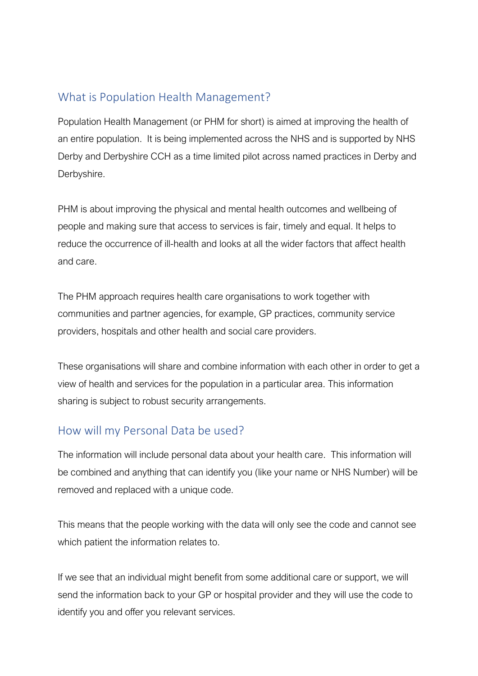### What is Population Health Management?

Population Health Management (or PHM for short) is aimed at improving the health of an entire population. It is being implemented across the NHS and is supported by NHS Derby and Derbyshire CCH as a time limited pilot across named practices in Derby and Derbyshire.

PHM is about improving the physical and mental health outcomes and wellbeing of people and making sure that access to services is fair, timely and equal. It helps to reduce the occurrence of ill-health and looks at all the wider factors that affect health and care.

The PHM approach requires health care organisations to work together with communities and partner agencies, for example, GP practices, community service providers, hospitals and other health and social care providers.

These organisations will share and combine information with each other in order to get a view of health and services for the population in a particular area. This information sharing is subject to robust security arrangements.

### How will my Personal Data be used?

The information will include personal data about your health care. This information will be combined and anything that can identify you (like your name or NHS Number) will be removed and replaced with a unique code.

This means that the people working with the data will only see the code and cannot see which patient the information relates to.

If we see that an individual might benefit from some additional care or support, we will send the information back to your GP or hospital provider and they will use the code to identify you and offer you relevant services.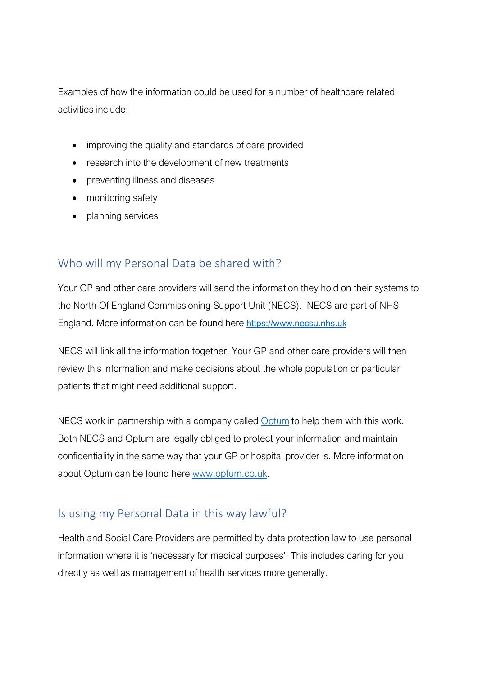Examples of how the information could be used for a number of healthcare related activities include;

- improving the quality and standards of care provided
- research into the development of new treatments
- preventing illness and diseases
- monitoring safety
- planning services

#### Who will my Personal Data be shared with?

Your GP and other care providers will send the information they hold on their systems to the North Of England Commissioning Support Unit (NECS). NECS are part of NHS England. More information can be found here [https://www.necsu.nhs.uk](https://www.necsu.nhs.uk/)

NECS will link all the information together. Your GP and other care providers will then review this information and make decisions about the whole population or particular patients that might need additional support.

NECS work in partnership with a company called [Optum](https://www.optum.co.uk/) to help them with this work. Both NECS and Optum are legally obliged to protect your information and maintain confidentiality in the same way that your GP or hospital provider is. More information about Optum can be found here [www.optum.co.uk.](http://www.optum.co.uk/)

#### Is using my Personal Data in this way lawful?

Health and Social Care Providers are permitted by data protection law to use personal information where it is 'necessary for medical purposes'. This includes caring for you directly as well as management of health services more generally.